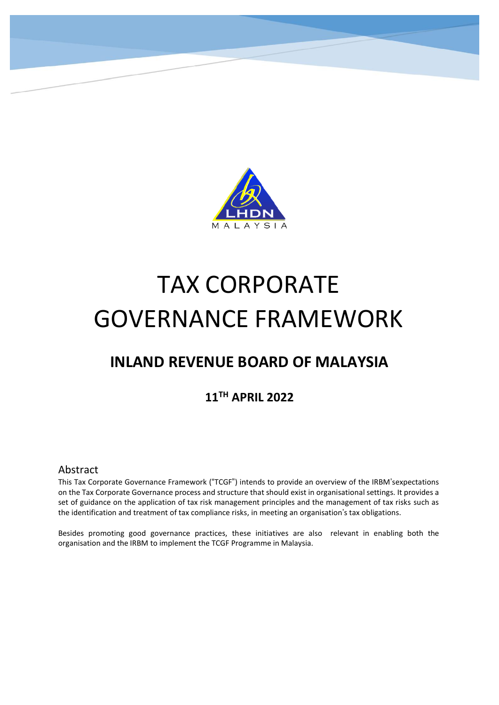

# TAX CORPORATE GOVERNANCE FRAMEWORK

## **INLAND REVENUE BOARD OF MALAYSIA**

## **11TH APRIL 2022**

#### Abstract

This Tax Corporate Governance Framework ("TCGF") intends to provide an overview of the IRBM'sexpectations on the Tax Corporate Governance process and structure that should exist in organisational settings. It provides a set of guidance on the application of tax risk management principles and the management of tax risks such as the identification and treatment of tax compliance risks, in meeting an organisation's tax obligations.

Besides promoting good governance practices, these initiatives are also relevant in enabling both the organisation and the IRBM to implement the TCGF Programme in Malaysia.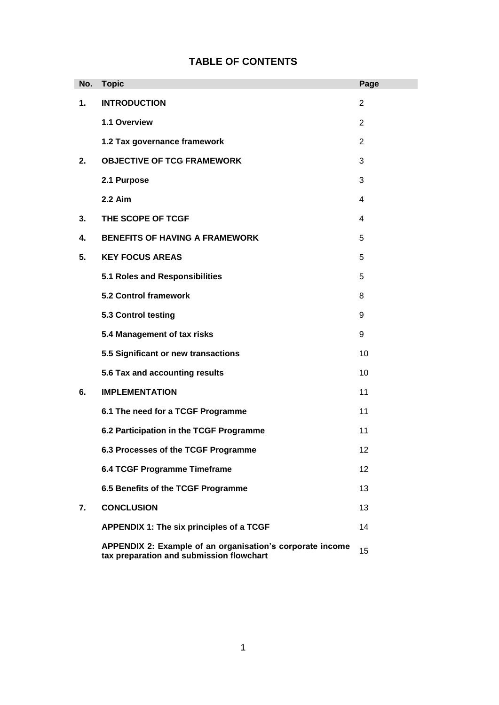| No. | <b>Topic</b>                                                                                          | Page           |
|-----|-------------------------------------------------------------------------------------------------------|----------------|
| 1.  | <b>INTRODUCTION</b>                                                                                   | $\overline{2}$ |
|     | 1.1 Overview                                                                                          | 2              |
|     | 1.2 Tax governance framework                                                                          | $\overline{2}$ |
| 2.  | <b>OBJECTIVE OF TCG FRAMEWORK</b>                                                                     | 3              |
|     | 2.1 Purpose                                                                                           | 3              |
|     | $2.2$ Aim                                                                                             | 4              |
| 3.  | THE SCOPE OF TCGF                                                                                     | 4              |
| 4.  | <b>BENEFITS OF HAVING A FRAMEWORK</b>                                                                 | 5              |
| 5.  | <b>KEY FOCUS AREAS</b>                                                                                | 5              |
|     | 5.1 Roles and Responsibilities                                                                        | 5              |
|     | <b>5.2 Control framework</b>                                                                          | 8              |
|     | 5.3 Control testing                                                                                   | 9              |
|     | 5.4 Management of tax risks                                                                           | 9              |
|     | 5.5 Significant or new transactions                                                                   | 10             |
|     | 5.6 Tax and accounting results                                                                        | 10             |
| 6.  | <b>IMPLEMENTATION</b>                                                                                 | 11             |
|     | 6.1 The need for a TCGF Programme                                                                     | 11             |
|     | 6.2 Participation in the TCGF Programme                                                               | 11             |
|     | 6.3 Processes of the TCGF Programme                                                                   | 12             |
|     | 6.4 TCGF Programme Timeframe                                                                          | 12             |
|     | 6.5 Benefits of the TCGF Programme                                                                    | 13             |
| 7.  | <b>CONCLUSION</b>                                                                                     | 13             |
|     | APPENDIX 1: The six principles of a TCGF                                                              | 14             |
|     | APPENDIX 2: Example of an organisation's corporate income<br>tax preparation and submission flowchart | 15             |

## **TABLE OF CONTENTS**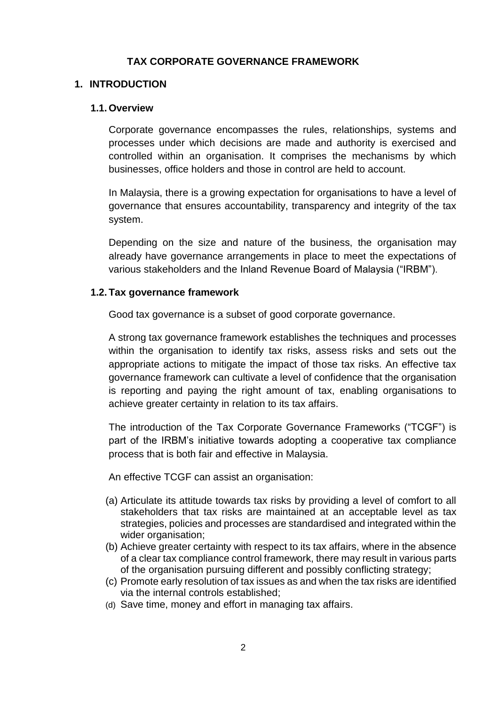#### **TAX CORPORATE GOVERNANCE FRAMEWORK**

#### **1. INTRODUCTION**

#### **1.1. Overview**

Corporate governance encompasses the rules, relationships, systems and processes under which decisions are made and authority is exercised and controlled within an organisation. It comprises the mechanisms by which businesses, office holders and those in control are held to account.

In Malaysia, there is a growing expectation for organisations to have a level of governance that ensures accountability, transparency and integrity of the tax system.

Depending on the size and nature of the business, the organisation may already have governance arrangements in place to meet the expectations of various stakeholders and the Inland Revenue Board of Malaysia ("IRBM").

#### **1.2. Tax governance framework**

Good tax governance is a subset of good corporate governance.

A strong tax governance framework establishes the techniques and processes within the organisation to identify tax risks, assess risks and sets out the appropriate actions to mitigate the impact of those tax risks. An effective tax governance framework can cultivate a level of confidence that the organisation is reporting and paying the right amount of tax, enabling organisations to achieve greater certainty in relation to its tax affairs.

The introduction of the Tax Corporate Governance Frameworks ("TCGF") is part of the IRBM's initiative towards adopting a cooperative tax compliance process that is both fair and effective in Malaysia.

An effective TCGF can assist an organisation:

- (a) Articulate its attitude towards tax risks by providing a level of comfort to all stakeholders that tax risks are maintained at an acceptable level as tax strategies, policies and processes are standardised and integrated within the wider organisation;
- (b) Achieve greater certainty with respect to its tax affairs, where in the absence of a clear tax compliance control framework, there may result in various parts of the organisation pursuing different and possibly conflicting strategy;
- (c) Promote early resolution of tax issues as and when the tax risks are identified via the internal controls established;
- (d) Save time, money and effort in managing tax affairs.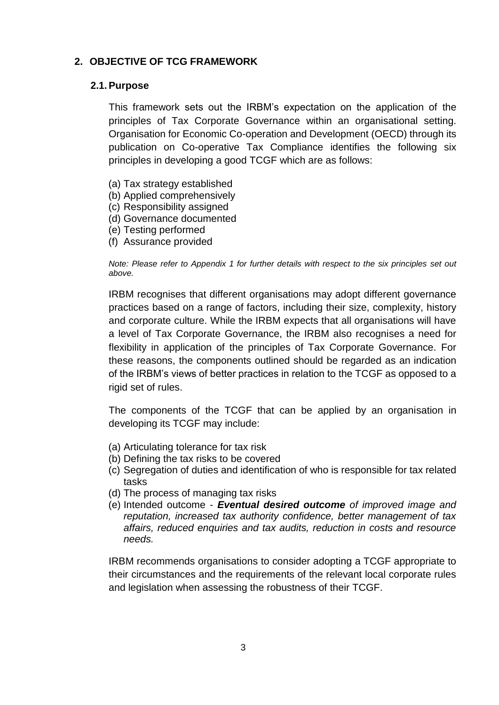#### **2. OBJECTIVE OF TCG FRAMEWORK**

#### **2.1.Purpose**

This framework sets out the IRBM's expectation on the application of the principles of Tax Corporate Governance within an organisational setting. Organisation for Economic Co-operation and Development (OECD) through its publication on Co-operative Tax Compliance identifies the following six principles in developing a good TCGF which are as follows:

- (a) Tax strategy established
- (b) Applied comprehensively
- (c) Responsibility assigned
- (d) Governance documented
- (e) Testing performed
- (f) Assurance provided

*Note: Please refer to Appendix 1 for further details with respect to the six principles set out above.*

IRBM recognises that different organisations may adopt different governance practices based on a range of factors, including their size, complexity, history and corporate culture. While the IRBM expects that all organisations will have a level of Tax Corporate Governance, the IRBM also recognises a need for flexibility in application of the principles of Tax Corporate Governance. For these reasons, the components outlined should be regarded as an indication of the IRBM's views of better practices in relation to the TCGF as opposed to a rigid set of rules.

The components of the TCGF that can be applied by an organisation in developing its TCGF may include:

- (a) Articulating tolerance for tax risk
- (b) Defining the tax risks to be covered
- (c) Segregation of duties and identification of who is responsible for tax related tasks
- (d) The process of managing tax risks
- (e) Intended outcome *Eventual desired outcome of improved image and reputation, increased tax authority confidence, better management of tax affairs, reduced enquiries and tax audits, reduction in costs and resource needs.*

IRBM recommends organisations to consider adopting a TCGF appropriate to their circumstances and the requirements of the relevant local corporate rules and legislation when assessing the robustness of their TCGF.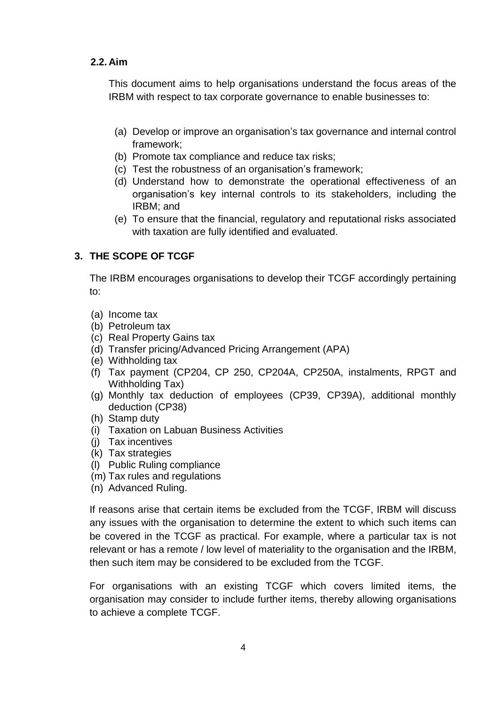#### **2.2. Aim**

This document aims to help organisations understand the focus areas of the IRBM with respect to tax corporate governance to enable businesses to:

- (a) Develop or improve an organisation's tax governance and internal control framework;
- (b) Promote tax compliance and reduce tax risks;
- (c) Test the robustness of an organisation's framework;
- (d) Understand how to demonstrate the operational effectiveness of an organisation's key internal controls to its stakeholders, including the IRBM; and
- (e) To ensure that the financial, regulatory and reputational risks associated with taxation are fully identified and evaluated.

#### **3. THE SCOPE OF TCGF**

The IRBM encourages organisations to develop their TCGF accordingly pertaining to:

- (a) Income tax
- (b) Petroleum tax
- (c) Real Property Gains tax
- (d) Transfer pricing/Advanced Pricing Arrangement (APA)
- (e) Withholding tax
- (f) Tax payment (CP204, CP 250, CP204A, CP250A, instalments, RPGT and Withholding Tax)
- (g) Monthly tax deduction of employees (CP39, CP39A), additional monthly deduction (CP38)
- (h) Stamp duty
- (i) Taxation on Labuan Business Activities
- (j) Tax incentives
- (k) Tax strategies
- (l) Public Ruling compliance
- (m) Tax rules and regulations
- (n) Advanced Ruling.

If reasons arise that certain items be excluded from the TCGF, IRBM will discuss any issues with the organisation to determine the extent to which such items can be covered in the TCGF as practical. For example, where a particular tax is not relevant or has a remote / low level of materiality to the organisation and the IRBM, then such item may be considered to be excluded from the TCGF.

For organisations with an existing TCGF which covers limited items, the organisation may consider to include further items, thereby allowing organisations to achieve a complete TCGF.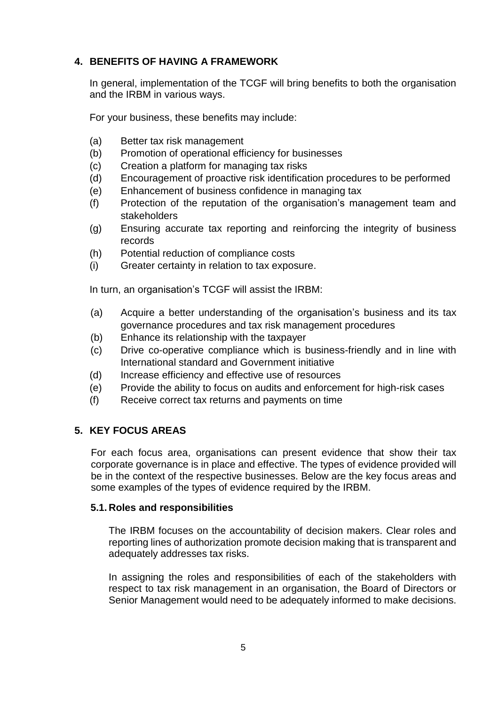#### **4. BENEFITS OF HAVING A FRAMEWORK**

In general, implementation of the TCGF will bring benefits to both the organisation and the IRBM in various ways.

For your business, these benefits may include:

- (a) Better tax risk management
- (b) Promotion of operational efficiency for businesses
- (c) Creation a platform for managing tax risks
- (d) Encouragement of proactive risk identification procedures to be performed
- (e) Enhancement of business confidence in managing tax
- (f) Protection of the reputation of the organisation's management team and stakeholders
- (g) Ensuring accurate tax reporting and reinforcing the integrity of business records
- (h) Potential reduction of compliance costs
- (i) Greater certainty in relation to tax exposure.

In turn, an organisation's TCGF will assist the IRBM:

- (a) Acquire a better understanding of the organisation's business and its tax governance procedures and tax risk management procedures
- (b) Enhance its relationship with the taxpayer
- (c) Drive co-operative compliance which is business-friendly and in line with International standard and Government initiative
- (d) Increase efficiency and effective use of resources
- (e) Provide the ability to focus on audits and enforcement for high-risk cases
- (f) Receive correct tax returns and payments on time

#### **5. KEY FOCUS AREAS**

For each focus area, organisations can present evidence that show their tax corporate governance is in place and effective. The types of evidence provided will be in the context of the respective businesses. Below are the key focus areas and some examples of the types of evidence required by the IRBM.

#### **5.1. Roles and responsibilities**

The IRBM focuses on the accountability of decision makers. Clear roles and reporting lines of authorization promote decision making that is transparent and adequately addresses tax risks.

In assigning the roles and responsibilities of each of the stakeholders with respect to tax risk management in an organisation, the Board of Directors or Senior Management would need to be adequately informed to make decisions.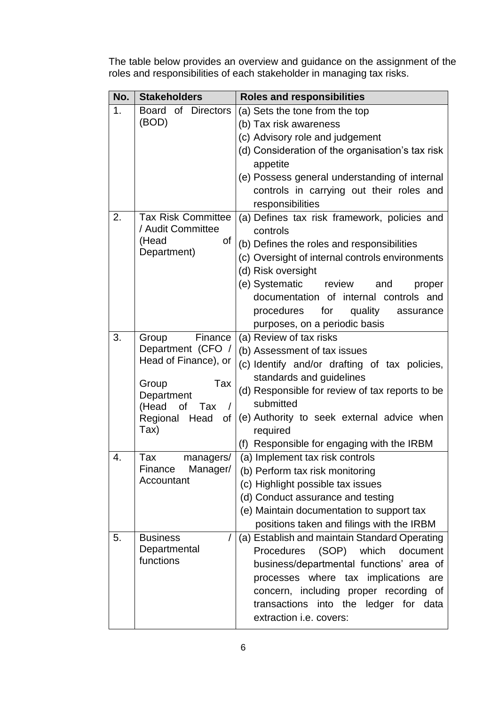The table below provides an overview and guidance on the assignment of the roles and responsibilities of each stakeholder in managing tax risks.

| No.            | <b>Stakeholders</b>                                                                                                                                             | <b>Roles and responsibilities</b>                                                                                                                                                                                                                                                                                                              |  |  |
|----------------|-----------------------------------------------------------------------------------------------------------------------------------------------------------------|------------------------------------------------------------------------------------------------------------------------------------------------------------------------------------------------------------------------------------------------------------------------------------------------------------------------------------------------|--|--|
| 1 <sub>1</sub> | Board of Directors<br>(BOD)                                                                                                                                     | (a) Sets the tone from the top<br>(b) Tax risk awareness<br>(c) Advisory role and judgement<br>(d) Consideration of the organisation's tax risk<br>appetite<br>(e) Possess general understanding of internal<br>controls in carrying out their roles and<br>responsibilities                                                                   |  |  |
| 2.             | <b>Tax Risk Committee</b><br>/ Audit Committee<br>(Head<br>of<br>Department)                                                                                    | (a) Defines tax risk framework, policies and<br>controls<br>(b) Defines the roles and responsibilities<br>(c) Oversight of internal controls environments<br>(d) Risk oversight<br>(e) Systematic review<br>and<br>proper<br>documentation of internal controls and<br>procedures for<br>quality<br>assurance<br>purposes, on a periodic basis |  |  |
| 3.             | Finance<br>Group<br>Department (CFO /<br>Head of Finance), or<br>Tax<br>Group<br>Department<br>(Head<br>of<br>Tax<br>$\prime$<br>Regional<br>Head<br>of<br>Tax) | (a) Review of tax risks<br>(b) Assessment of tax issues<br>(c) Identify and/or drafting of tax policies,<br>standards and guidelines<br>(d) Responsible for review of tax reports to be<br>submitted<br>(e) Authority to seek external advice when<br>required<br>(f) Responsible for engaging with the IRBM                                   |  |  |
| 4.             | Tax<br>managers/<br>Manager/<br>Finance<br>Accountant                                                                                                           | (a) Implement tax risk controls<br>(b) Perform tax risk monitoring<br>(c) Highlight possible tax issues<br>(d) Conduct assurance and testing<br>(e) Maintain documentation to support tax<br>positions taken and filings with the IRBM                                                                                                         |  |  |
| 5.             | <b>Business</b><br>Departmental<br>functions                                                                                                                    | (a) Establish and maintain Standard Operating<br>(SOP) which<br><b>Procedures</b><br>document<br>business/departmental functions' area of<br>processes where tax implications are<br>concern, including proper recording of<br>transactions into the ledger for data<br>extraction i.e. covers:                                                |  |  |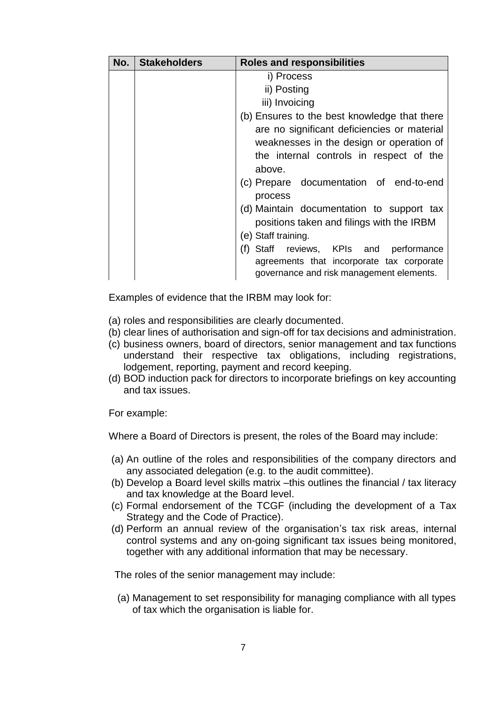| No. | <b>Stakeholders</b> | <b>Roles and responsibilities</b>                                                     |  |  |
|-----|---------------------|---------------------------------------------------------------------------------------|--|--|
|     |                     | i) Process                                                                            |  |  |
|     |                     | ii) Posting                                                                           |  |  |
|     |                     | iii) Invoicing                                                                        |  |  |
|     |                     | (b) Ensures to the best knowledge that there                                          |  |  |
|     |                     | are no significant deficiencies or material                                           |  |  |
|     |                     | weaknesses in the design or operation of                                              |  |  |
|     |                     | the internal controls in respect of the                                               |  |  |
|     |                     | above.                                                                                |  |  |
|     |                     | (c) Prepare documentation of end-to-end<br>process                                    |  |  |
|     |                     | (d) Maintain documentation to support tax                                             |  |  |
|     |                     | positions taken and filings with the IRBM                                             |  |  |
|     |                     | (e) Staff training.                                                                   |  |  |
|     |                     | (f)<br>Staff reviews, KPIs and<br>performance                                         |  |  |
|     |                     | agreements that incorporate tax corporate<br>governance and risk management elements. |  |  |

Examples of evidence that the IRBM may look for:

- (a) roles and responsibilities are clearly documented.
- (b) clear lines of authorisation and sign-off for tax decisions and administration.
- (c) business owners, board of directors, senior management and tax functions understand their respective tax obligations, including registrations, lodgement, reporting, payment and record keeping.
- (d) BOD induction pack for directors to incorporate briefings on key accounting and tax issues.

For example:

Where a Board of Directors is present, the roles of the Board may include:

- (a) An outline of the roles and responsibilities of the company directors and any associated delegation (e.g. to the audit committee).
- (b) Develop a Board level skills matrix –this outlines the financial / tax literacy and tax knowledge at the Board level.
- (c) Formal endorsement of the TCGF (including the development of a Tax Strategy and the Code of Practice).
- (d) Perform an annual review of the organisation's tax risk areas, internal control systems and any on-going significant tax issues being monitored, together with any additional information that may be necessary.

The roles of the senior management may include:

(a) Management to set responsibility for managing compliance with all types of tax which the organisation is liable for.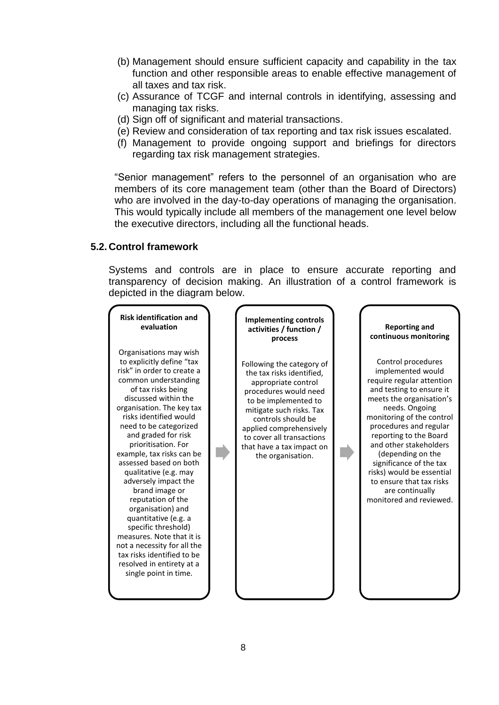- (b) Management should ensure sufficient capacity and capability in the tax function and other responsible areas to enable effective management of all taxes and tax risk.
- (c) Assurance of TCGF and internal controls in identifying, assessing and managing tax risks.
- (d) Sign off of significant and material transactions.
- (e) Review and consideration of tax reporting and tax risk issues escalated.
- (f) Management to provide ongoing support and briefings for directors regarding tax risk management strategies.

"Senior management" refers to the personnel of an organisation who are members of its core management team (other than the Board of Directors) who are involved in the day-to-day operations of managing the organisation. This would typically include all members of the management one level below the executive directors, including all the functional heads.

#### **5.2. Control framework**

Systems and controls are in place to ensure accurate reporting and transparency of decision making. An illustration of a control framework is depicted in the diagram below.

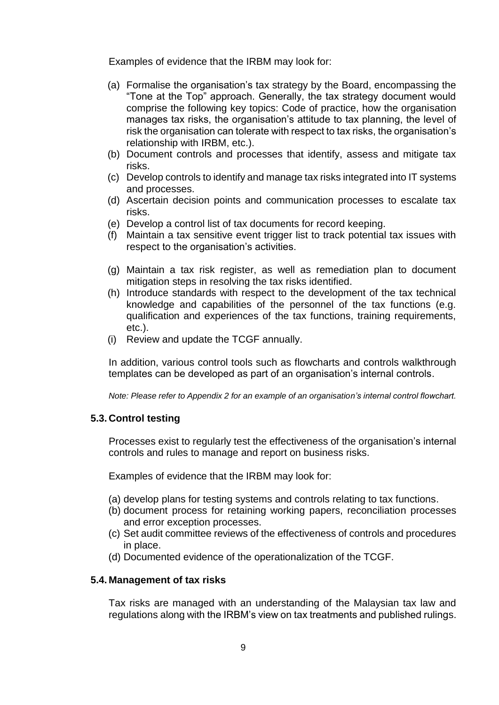Examples of evidence that the IRBM may look for:

- (a) Formalise the organisation's tax strategy by the Board, encompassing the "Tone at the Top" approach. Generally, the tax strategy document would comprise the following key topics: Code of practice, how the organisation manages tax risks, the organisation's attitude to tax planning, the level of risk the organisation can tolerate with respect to tax risks, the organisation's relationship with IRBM, etc.).
- (b) Document controls and processes that identify, assess and mitigate tax risks.
- (c) Develop controls to identify and manage tax risks integrated into IT systems and processes.
- (d) Ascertain decision points and communication processes to escalate tax risks.
- (e) Develop a control list of tax documents for record keeping.
- (f) Maintain a tax sensitive event trigger list to track potential tax issues with respect to the organisation's activities.
- (g) Maintain a tax risk register, as well as remediation plan to document mitigation steps in resolving the tax risks identified.
- (h) Introduce standards with respect to the development of the tax technical knowledge and capabilities of the personnel of the tax functions (e.g. qualification and experiences of the tax functions, training requirements, etc.).
- (i) Review and update the TCGF annually.

In addition, various control tools such as flowcharts and controls walkthrough templates can be developed as part of an organisation's internal controls.

*Note: Please refer to Appendix 2 for an example of an organisation's internal control flowchart.*

#### **5.3. Control testing**

Processes exist to regularly test the effectiveness of the organisation's internal controls and rules to manage and report on business risks.

Examples of evidence that the IRBM may look for:

- (a) develop plans for testing systems and controls relating to tax functions.
- (b) document process for retaining working papers, reconciliation processes and error exception processes.
- (c) Set audit committee reviews of the effectiveness of controls and procedures in place.
- (d) Documented evidence of the operationalization of the TCGF.

#### **5.4. Management of tax risks**

Tax risks are managed with an understanding of the Malaysian tax law and regulations along with the IRBM's view on tax treatments and published rulings.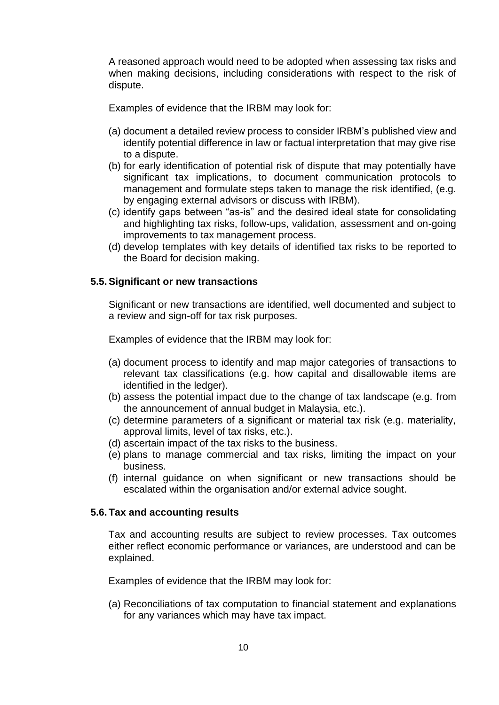A reasoned approach would need to be adopted when assessing tax risks and when making decisions, including considerations with respect to the risk of dispute.

Examples of evidence that the IRBM may look for:

- (a) document a detailed review process to consider IRBM's published view and identify potential difference in law or factual interpretation that may give rise to a dispute.
- (b) for early identification of potential risk of dispute that may potentially have significant tax implications, to document communication protocols to management and formulate steps taken to manage the risk identified, (e.g. by engaging external advisors or discuss with IRBM).
- (c) identify gaps between "as-is" and the desired ideal state for consolidating and highlighting tax risks, follow-ups, validation, assessment and on-going improvements to tax management process.
- (d) develop templates with key details of identified tax risks to be reported to the Board for decision making.

#### **5.5.Significant or new transactions**

Significant or new transactions are identified, well documented and subject to a review and sign-off for tax risk purposes.

Examples of evidence that the IRBM may look for:

- (a) document process to identify and map major categories of transactions to relevant tax classifications (e.g. how capital and disallowable items are identified in the ledger).
- (b) assess the potential impact due to the change of tax landscape (e.g. from the announcement of annual budget in Malaysia, etc.).
- (c) determine parameters of a significant or material tax risk (e.g. materiality, approval limits, level of tax risks, etc.).
- (d) ascertain impact of the tax risks to the business.
- (e) plans to manage commercial and tax risks, limiting the impact on your business.
- (f) internal guidance on when significant or new transactions should be escalated within the organisation and/or external advice sought.

#### **5.6. Tax and accounting results**

Tax and accounting results are subject to review processes. Tax outcomes either reflect economic performance or variances, are understood and can be explained.

Examples of evidence that the IRBM may look for:

(a) Reconciliations of tax computation to financial statement and explanations for any variances which may have tax impact.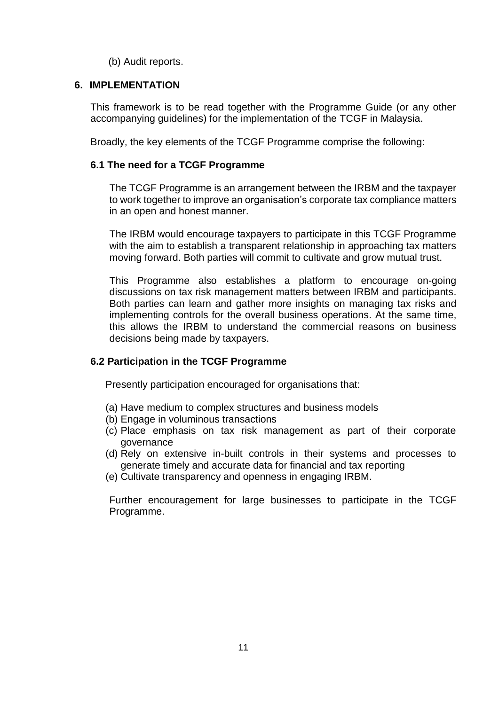(b) Audit reports.

#### **6. IMPLEMENTATION**

This framework is to be read together with the Programme Guide (or any other accompanying guidelines) for the implementation of the TCGF in Malaysia.

Broadly, the key elements of the TCGF Programme comprise the following:

#### **6.1 The need for a TCGF Programme**

The TCGF Programme is an arrangement between the IRBM and the taxpayer to work together to improve an organisation's corporate tax compliance matters in an open and honest manner.

The IRBM would encourage taxpayers to participate in this TCGF Programme with the aim to establish a transparent relationship in approaching tax matters moving forward. Both parties will commit to cultivate and grow mutual trust.

This Programme also establishes a platform to encourage on-going discussions on tax risk management matters between IRBM and participants. Both parties can learn and gather more insights on managing tax risks and implementing controls for the overall business operations. At the same time, this allows the IRBM to understand the commercial reasons on business decisions being made by taxpayers.

#### **6.2 Participation in the TCGF Programme**

Presently participation encouraged for organisations that:

- (a) Have medium to complex structures and business models
- (b) Engage in voluminous transactions
- (c) Place emphasis on tax risk management as part of their corporate governance
- (d) Rely on extensive in-built controls in their systems and processes to generate timely and accurate data for financial and tax reporting
- (e) Cultivate transparency and openness in engaging IRBM.

Further encouragement for large businesses to participate in the TCGF Programme.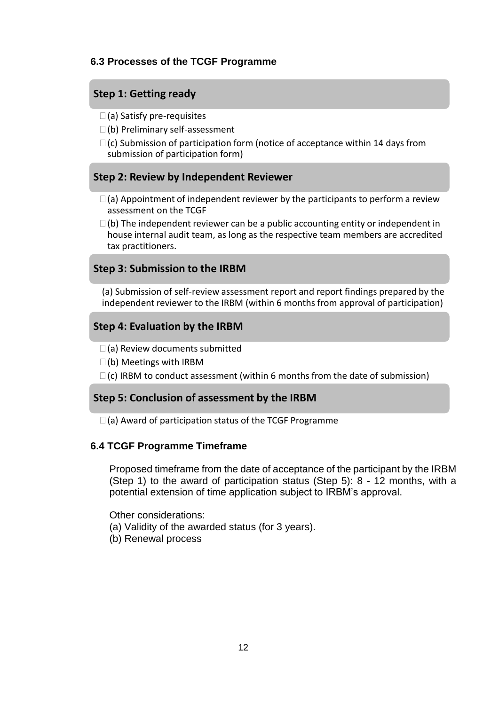#### **6.3 Processes of the TCGF Programme**

#### **Step 1: Getting ready**

- $\square$  (a) Satisfy pre-requisites
- (b) Preliminary self-assessment
- $\Box$  (c) Submission of participation form (notice of acceptance within 14 days from submission of participation form)

#### **Step 2: Review by Independent Reviewer**

- $\Box$  (a) Appointment of independent reviewer by the participants to perform a review assessment on the TCGF
- $\Box$  (b) The independent reviewer can be a public accounting entity or independent in house internal audit team, as long as the respective team members are accredited tax practitioners.

#### **Step 3: Submission to the IRBM**

(a) Submission of self-review assessment report and report findings prepared by the independent reviewer to the IRBM (within 6 months from approval of participation)

#### **Step 4: Evaluation by the IRBM**

- $\square$  (a) Review documents submitted
- $\square$ (b) Meetings with IRBM
- $\Box$ (c) IRBM to conduct assessment (within 6 months from the date of submission)

#### **Step 5: Conclusion of assessment by the IRBM**

 $\square$  (a) Award of participation status of the TCGF Programme

#### **6.4 TCGF Programme Timeframe**

Proposed timeframe from the date of acceptance of the participant by the IRBM (Step 1) to the award of participation status (Step 5): 8 - 12 months, with a potential extension of time application subject to IRBM's approval.

Other considerations:

(a) Validity of the awarded status (for 3 years).

(b) Renewal process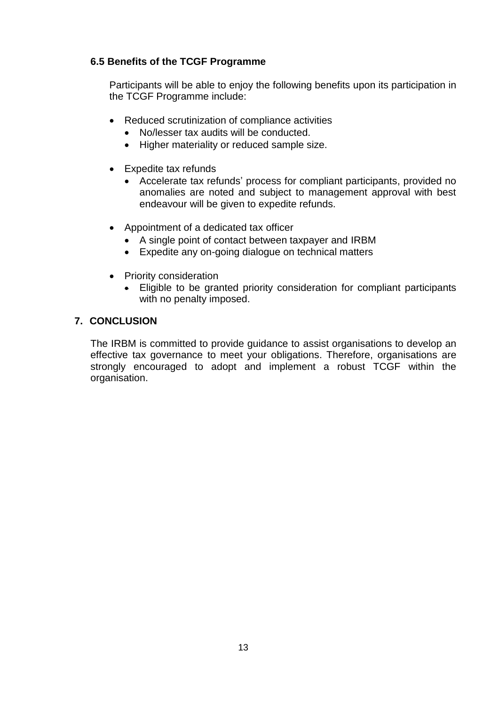#### **6.5 Benefits of the TCGF Programme**

Participants will be able to enjoy the following benefits upon its participation in the TCGF Programme include:

- Reduced scrutinization of compliance activities
	- No/lesser tax audits will be conducted.
	- Higher materiality or reduced sample size.
- Expedite tax refunds
	- Accelerate tax refunds' process for compliant participants, provided no anomalies are noted and subject to management approval with best endeavour will be given to expedite refunds.
- Appointment of a dedicated tax officer
	- A single point of contact between taxpayer and IRBM
	- Expedite any on-going dialogue on technical matters
- Priority consideration
	- Eligible to be granted priority consideration for compliant participants with no penalty imposed.

#### **7. CONCLUSION**

The IRBM is committed to provide guidance to assist organisations to develop an effective tax governance to meet your obligations. Therefore, organisations are strongly encouraged to adopt and implement a robust TCGF within the organisation.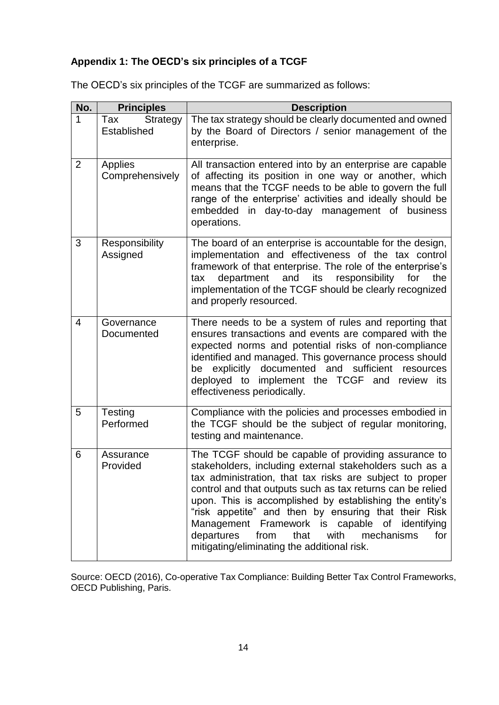## **Appendix 1: The OECD's six principles of a TCGF**

The OECD's six principles of the TCGF are summarized as follows:

| No.            | <b>Principles</b>                     | <b>Description</b>                                                                                                                                                                                                                                                                                                                                                                                                                                                                                                       |  |  |
|----------------|---------------------------------------|--------------------------------------------------------------------------------------------------------------------------------------------------------------------------------------------------------------------------------------------------------------------------------------------------------------------------------------------------------------------------------------------------------------------------------------------------------------------------------------------------------------------------|--|--|
| 1              | Tax<br><b>Strategy</b><br>Established | The tax strategy should be clearly documented and owned<br>by the Board of Directors / senior management of the<br>enterprise.                                                                                                                                                                                                                                                                                                                                                                                           |  |  |
| $\overline{2}$ | Applies<br>Comprehensively            | All transaction entered into by an enterprise are capable<br>of affecting its position in one way or another, which<br>means that the TCGF needs to be able to govern the full<br>range of the enterprise' activities and ideally should be<br>embedded in day-to-day management of business<br>operations.                                                                                                                                                                                                              |  |  |
| 3              | Responsibility<br>Assigned            | The board of an enterprise is accountable for the design,<br>implementation and effectiveness of the tax control<br>framework of that enterprise. The role of the enterprise's<br>and<br>responsibility<br>department<br>its<br>for<br>the<br>tax<br>implementation of the TCGF should be clearly recognized<br>and properly resourced.                                                                                                                                                                                  |  |  |
| $\overline{4}$ | Governance<br>Documented              | There needs to be a system of rules and reporting that<br>ensures transactions and events are compared with the<br>expected norms and potential risks of non-compliance<br>identified and managed. This governance process should<br>explicitly documented and sufficient resources<br>be<br>deployed to implement the TCGF and review its<br>effectiveness periodically.                                                                                                                                                |  |  |
| 5              | Testing<br>Performed                  | Compliance with the policies and processes embodied in<br>the TCGF should be the subject of regular monitoring,<br>testing and maintenance.                                                                                                                                                                                                                                                                                                                                                                              |  |  |
| 6              | Assurance<br>Provided                 | The TCGF should be capable of providing assurance to<br>stakeholders, including external stakeholders such as a<br>tax administration, that tax risks are subject to proper<br>control and that outputs such as tax returns can be relied<br>upon. This is accomplished by establishing the entity's<br>"risk appetite" and then by ensuring that their Risk<br>Management Framework is capable of identifying<br>that<br>with<br>departures<br>from<br>mechanisms<br>for<br>mitigating/eliminating the additional risk. |  |  |

Source: OECD (2016), Co-operative Tax Compliance: Building Better Tax Control Frameworks, OECD Publishing, Paris.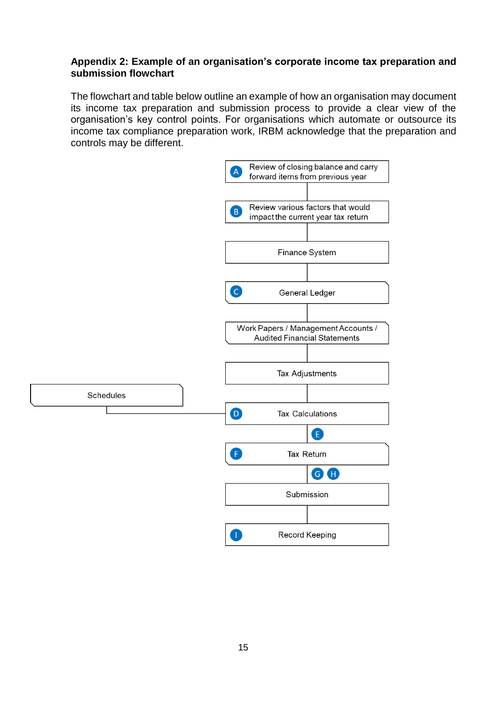#### **Appendix 2: Example of an organisation's corporate income tax preparation and submission flowchart**

The flowchart and table below outline an example of how an organisation may document its income tax preparation and submission process to provide a clear view of the organisation's key control points. For organisations which automate or outsource its income tax compliance preparation work, IRBM acknowledge that the preparation and controls may be different.

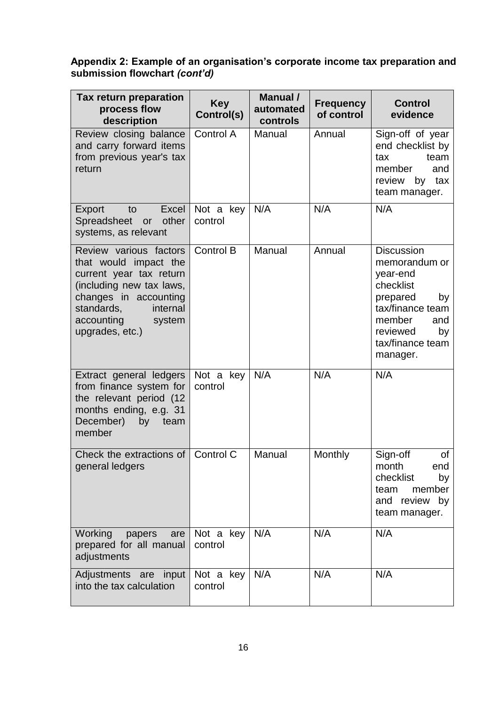#### **Appendix 2: Example of an organisation's corporate income tax preparation and submission flowchart** *(cont'd)*

| Tax return preparation<br>process flow<br>description                                                                                                                                                | <b>Key</b><br>Control(s) | <b>Manual</b> /<br>automated<br>controls | <b>Frequency</b><br>of control | <b>Control</b><br>evidence                                                                                                                                           |
|------------------------------------------------------------------------------------------------------------------------------------------------------------------------------------------------------|--------------------------|------------------------------------------|--------------------------------|----------------------------------------------------------------------------------------------------------------------------------------------------------------------|
| Review closing balance<br>and carry forward items<br>from previous year's tax<br>return                                                                                                              | Control A                | Manual                                   | Annual                         | Sign-off of year<br>end checklist by<br>team<br>tax<br>member<br>and<br>review<br>by tax<br>team manager.                                                            |
| Export<br>to<br>Excel<br>Spreadsheet<br>other<br>or<br>systems, as relevant                                                                                                                          | Not a key<br>control     | N/A                                      | N/A                            | N/A                                                                                                                                                                  |
| Review various factors<br>that would impact the<br>current year tax return<br>(including new tax laws,<br>changes in accounting<br>standards,<br>internal<br>accounting<br>system<br>upgrades, etc.) | Control B                | Manual                                   | Annual                         | <b>Discussion</b><br>memorandum or<br>year-end<br>checklist<br>prepared<br>by<br>tax/finance team<br>member<br>and<br>reviewed<br>by<br>tax/finance team<br>manager. |
| Extract general ledgers<br>from finance system for<br>the relevant period (12<br>months ending, e.g. 31<br>December)<br>by<br>team<br>member                                                         | Not a key<br>control     | N/A                                      | N/A                            | N/A                                                                                                                                                                  |
| Check the extractions of<br>general ledgers                                                                                                                                                          | Control C                | Manual                                   | Monthly                        | of<br>Sign-off<br>end<br>month<br>checklist<br>by<br>member<br>team<br>and<br>review by<br>team manager.                                                             |
| Working<br>papers<br>are<br>prepared for all manual<br>adjustments                                                                                                                                   | Not a key<br>control     | N/A                                      | N/A                            | N/A                                                                                                                                                                  |
| Adjustments are input<br>into the tax calculation                                                                                                                                                    | Not a key<br>control     | N/A                                      | N/A                            | N/A                                                                                                                                                                  |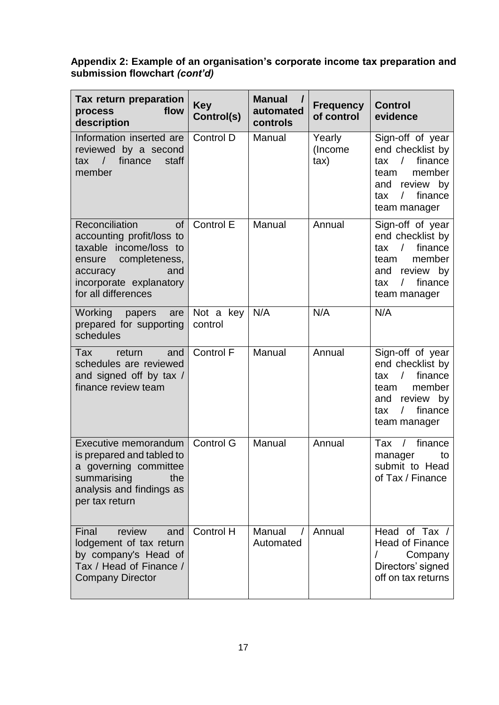#### **Appendix 2: Example of an organisation's corporate income tax preparation and submission flowchart** *(cont'd)*

| Tax return preparation<br>flow<br>process<br>description                                                                                                                        | <b>Key</b><br>Control(s) | <b>Manual</b><br>automated<br>controls | <b>Frequency</b><br>of control | <b>Control</b><br>evidence                                                                                                                                 |
|---------------------------------------------------------------------------------------------------------------------------------------------------------------------------------|--------------------------|----------------------------------------|--------------------------------|------------------------------------------------------------------------------------------------------------------------------------------------------------|
| Information inserted are<br>reviewed by a second<br>$\sqrt{ }$<br>finance<br>staff<br>tax<br>member                                                                             | Control D                | Manual                                 | Yearly<br>(Income<br>tax)      | Sign-off of year<br>end checklist by<br>$\prime$<br>finance<br>tax<br>member<br>team<br>and review by<br>finance<br>$\sqrt{2}$<br>tax<br>team manager      |
| Reconciliation<br><b>of</b><br>accounting profit/loss to<br>taxable income/loss to<br>ensure completeness,<br>and<br>accuracy<br>incorporate explanatory<br>for all differences | Control E                | Manual                                 | Annual                         | Sign-off of year<br>end checklist by<br>finance<br>$\sqrt{2}$<br>tax<br>member<br>team<br>review by<br>and<br>finance<br>tax<br>$\prime$<br>team manager   |
| Working papers<br>are<br>prepared for supporting<br>schedules                                                                                                                   | Not a key<br>control     | N/A                                    | N/A                            | N/A                                                                                                                                                        |
| Tax<br>return<br>and<br>schedules are reviewed<br>and signed off by tax /<br>finance review team                                                                                | <b>Control F</b>         | Manual                                 | Annual                         | Sign-off of year<br>end checklist by<br>finance<br>$\sqrt{2}$<br>tax<br>member<br>team<br>review by<br>and<br>$\sqrt{2}$<br>finance<br>tax<br>team manager |
| <b>Executive memorandum</b><br>is prepared and tabled to<br>a governing committee<br>summarising<br>the<br>analysis and findings as<br>per tax return                           | <b>Control G</b>         | Manual                                 | Annual                         | finance<br>Tax<br>$\sqrt{2}$<br>to<br>manager<br>submit to Head<br>of Tax / Finance                                                                        |
| Final<br>review<br>and<br>lodgement of tax return<br>by company's Head of<br>Tax / Head of Finance /<br><b>Company Director</b>                                                 | <b>Control H</b>         | Manual<br>Automated                    | Annual                         | Head of Tax /<br><b>Head of Finance</b><br>Company<br>Directors' signed<br>off on tax returns                                                              |